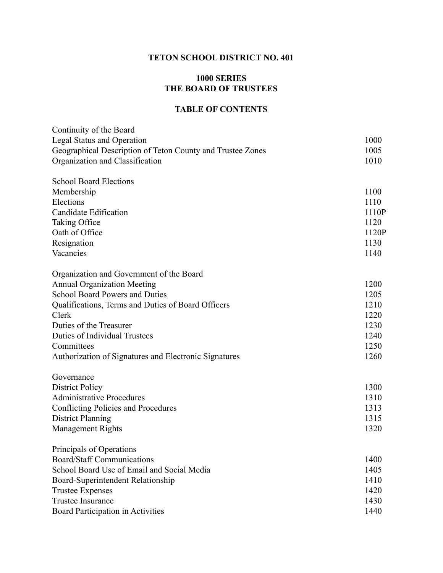## **TETON SCHOOL DISTRICT NO. 401**

## **1000 SERIES THE BOARD OF TRUSTEES**

## **TABLE OF CONTENTS**

| Continuity of the Board                                    |       |
|------------------------------------------------------------|-------|
| <b>Legal Status and Operation</b>                          | 1000  |
| Geographical Description of Teton County and Trustee Zones | 1005  |
| Organization and Classification                            | 1010  |
| <b>School Board Elections</b>                              |       |
| Membership                                                 | 1100  |
| Elections                                                  | 1110  |
| <b>Candidate Edification</b>                               | 1110P |
| Taking Office                                              | 1120  |
| Oath of Office                                             | 1120P |
| Resignation                                                | 1130  |
| Vacancies                                                  | 1140  |
| Organization and Government of the Board                   |       |
| <b>Annual Organization Meeting</b>                         | 1200  |
| <b>School Board Powers and Duties</b>                      | 1205  |
| Qualifications, Terms and Duties of Board Officers         | 1210  |
| Clerk                                                      | 1220  |
| Duties of the Treasurer                                    | 1230  |
| <b>Duties of Individual Trustees</b>                       | 1240  |
| Committees                                                 | 1250  |
| Authorization of Signatures and Electronic Signatures      | 1260  |
| Governance                                                 |       |
| <b>District Policy</b>                                     | 1300  |
| <b>Administrative Procedures</b>                           | 1310  |
| <b>Conflicting Policies and Procedures</b>                 | 1313  |
| <b>District Planning</b>                                   | 1315  |
| <b>Management Rights</b>                                   | 1320  |
| Principals of Operations                                   |       |
| <b>Board/Staff Communications</b>                          | 1400  |
| School Board Use of Email and Social Media                 | 1405  |
| Board-Superintendent Relationship                          | 1410  |
| <b>Trustee Expenses</b>                                    | 1420  |
| <b>Trustee Insurance</b>                                   | 1430  |
| <b>Board Participation in Activities</b>                   | 1440  |